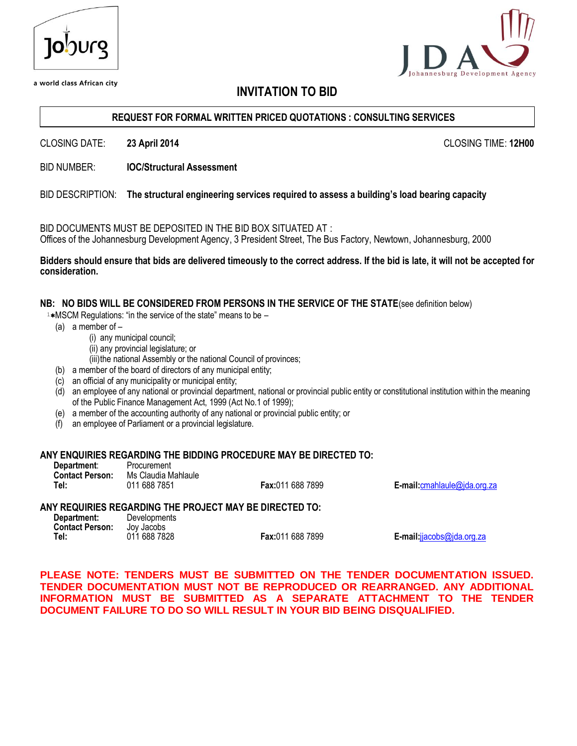| 10')Urg |  |
|---------|--|
|         |  |

a world class African city

# **INVITATION TO BID**

#### **REQUEST FOR FORMAL WRITTEN PRICED QUOTATIONS : CONSULTING SERVICES**

CLOSING DATE: **23 April 2014** CLOSING TIME: **12H00**

BID NUMBER: **IOC/Structural Assessment**

#### BID DESCRIPTION: **The structural engineering services required to assess a building's load bearing capacity**

BID DOCUMENTS MUST BE DEPOSITED IN THE BID BOX SITUATED AT : Offices of the Johannesburg Development Agency, 3 President Street, The Bus Factory, Newtown, Johannesburg, 2000

#### **Bidders should ensure that bids are delivered timeously to the correct address. If the bid is late, it will not be accepted for consideration.**

#### **NB: NO BIDS WILL BE CONSIDERED FROM PERSONS IN THE SERVICE OF THE STATE**(see definition below)

 $1*$ MSCM Regulations: "in the service of the state" means to be  $-$ 

- (a) a member of
	- (i) any municipal council;
	- (ii) any provincial legislature; or
	- (iii)the national Assembly or the national Council of provinces;
- (b) a member of the board of directors of any municipal entity;
- (c) an official of any municipality or municipal entity;
- (d) an employee of any national or provincial department, national or provincial public entity or constitutional institution within the meaning of the Public Finance Management Act, 1999 (Act No.1 of 1999);
- (e) a member of the accounting authority of any national or provincial public entity; or
- (f) an employee of Parliament or a provincial legislature.

#### **ANY ENQUIRIES REGARDING THE BIDDING PROCEDURE MAY BE DIRECTED TO:**

| Department:            | Procurement         |
|------------------------|---------------------|
| <b>Contact Person:</b> | Ms Claudia Mahlaule |
| Tel:                   | 011 688 7851        |

**Fax:** 011 688 7899 **E-mail:** [cmahlaule@jda.org.za](mailto:cmahlaule@jda.org.za)

#### **ANY REQUIRIES REGARDING THE PROJECT MAY BE DIRECTED TO:**

| Department:            | Developments |    |
|------------------------|--------------|----|
| <b>Contact Person:</b> | Jov Jacobs   |    |
| Tel:                   | 011 688 7828 | Fa |

**Tel:** 011 688 7828 **Fax:**011 688 7899 **E-mail:**[jjacobs@jda.org.za](mailto:jjacobs@jda.org.za)

**PLEASE NOTE: TENDERS MUST BE SUBMITTED ON THE TENDER DOCUMENTATION ISSUED. TENDER DOCUMENTATION MUST NOT BE REPRODUCED OR REARRANGED. ANY ADDITIONAL INFORMATION MUST BE SUBMITTED AS A SEPARATE ATTACHMENT TO THE TENDER DOCUMENT FAILURE TO DO SO WILL RESULT IN YOUR BID BEING DISQUALIFIED.**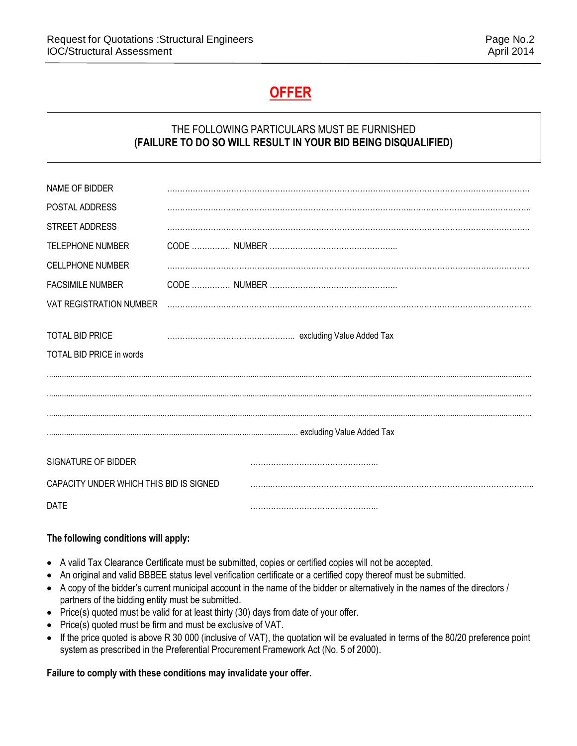# **OFFER**

# THE FOLLOWING PARTICULARS MUST BE FURNISHED **(FAILURE TO DO SO WILL RESULT IN YOUR BID BEING DISQUALIFIED)**

| NAME OF BIDDER                          |  |  |  |
|-----------------------------------------|--|--|--|
| POSTAL ADDRESS                          |  |  |  |
| <b>STREET ADDRESS</b>                   |  |  |  |
| <b>TELEPHONE NUMBER</b>                 |  |  |  |
| <b>CELLPHONE NUMBER</b>                 |  |  |  |
| <b>FACSIMILE NUMBER</b>                 |  |  |  |
| <b>VAT REGISTRATION NUMBER</b>          |  |  |  |
|                                         |  |  |  |
| <b>TOTAL BID PRICE</b>                  |  |  |  |
| TOTAL BID PRICE in words                |  |  |  |
|                                         |  |  |  |
|                                         |  |  |  |
|                                         |  |  |  |
|                                         |  |  |  |
|                                         |  |  |  |
| SIGNATURE OF BIDDER                     |  |  |  |
| CAPACITY UNDER WHICH THIS BID IS SIGNED |  |  |  |
| <b>DATE</b>                             |  |  |  |

# **The following conditions will apply:**

- A valid Tax Clearance Certificate must be submitted, copies or certified copies will not be accepted.
- An original and valid BBBEE status level verification certificate or a certified copy thereof must be submitted.
- A copy of the bidder's current municipal account in the name of the bidder or alternatively in the names of the directors / partners of the bidding entity must be submitted.
- Price(s) quoted must be valid for at least thirty (30) days from date of your offer.
- Price(s) quoted must be firm and must be exclusive of VAT.
- If the price quoted is above R 30 000 (inclusive of VAT), the quotation will be evaluated in terms of the 80/20 preference point system as prescribed in the Preferential Procurement Framework Act (No. 5 of 2000).

# **Failure to comply with these conditions may invalidate your offer.**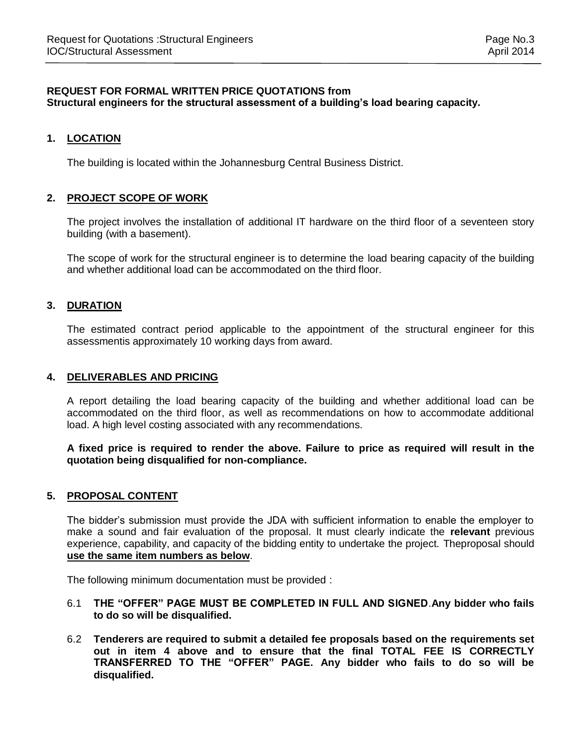#### **REQUEST FOR FORMAL WRITTEN PRICE QUOTATIONS from Structural engineers for the structural assessment of a building's load bearing capacity.**

#### **1. LOCATION**

The building is located within the Johannesburg Central Business District.

#### **2. PROJECT SCOPE OF WORK**

The project involves the installation of additional IT hardware on the third floor of a seventeen story building (with a basement).

The scope of work for the structural engineer is to determine the load bearing capacity of the building and whether additional load can be accommodated on the third floor.

#### **3. DURATION**

The estimated contract period applicable to the appointment of the structural engineer for this assessmentis approximately 10 working days from award.

#### **4. DELIVERABLES AND PRICING**

A report detailing the load bearing capacity of the building and whether additional load can be accommodated on the third floor, as well as recommendations on how to accommodate additional load. A high level costing associated with any recommendations.

**A fixed price is required to render the above. Failure to price as required will result in the quotation being disqualified for non-compliance.**

# **5. PROPOSAL CONTENT**

The bidder's submission must provide the JDA with sufficient information to enable the employer to make a sound and fair evaluation of the proposal. It must clearly indicate the **relevant** previous experience, capability, and capacity of the bidding entity to undertake the project. Theproposal should **use the same item numbers as below**.

The following minimum documentation must be provided :

- 6.1 **THE "OFFER" PAGE MUST BE COMPLETED IN FULL AND SIGNED**.**Any bidder who fails to do so will be disqualified.**
- 6.2 **Tenderers are required to submit a detailed fee proposals based on the requirements set out in item 4 above and to ensure that the final TOTAL FEE IS CORRECTLY TRANSFERRED TO THE "OFFER" PAGE. Any bidder who fails to do so will be disqualified.**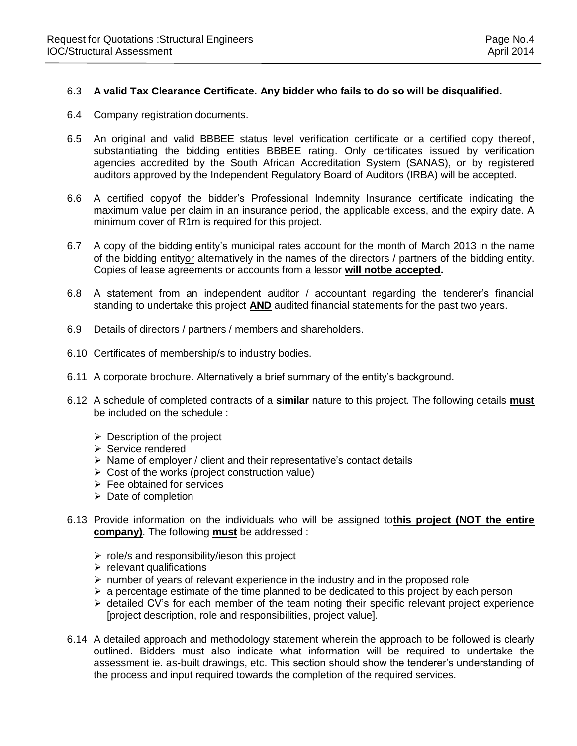#### 6.3 **A valid Tax Clearance Certificate. Any bidder who fails to do so will be disqualified.**

- 6.4 Company registration documents.
- 6.5 An original and valid BBBEE status level verification certificate or a certified copy thereof, substantiating the bidding entities BBBEE rating. Only certificates issued by verification agencies accredited by the South African Accreditation System (SANAS), or by registered auditors approved by the Independent Regulatory Board of Auditors (IRBA) will be accepted.
- 6.6 A certified copyof the bidder's Professional Indemnity Insurance certificate indicating the maximum value per claim in an insurance period, the applicable excess, and the expiry date. A minimum cover of R1m is required for this project.
- 6.7 A copy of the bidding entity's municipal rates account for the month of March 2013 in the name of the bidding entityor alternatively in the names of the directors / partners of the bidding entity. Copies of lease agreements or accounts from a lessor **will notbe accepted.**
- 6.8 A statement from an independent auditor / accountant regarding the tenderer's financial standing to undertake this project **AND** audited financial statements for the past two years.
- 6.9 Details of directors / partners / members and shareholders.
- 6.10 Certificates of membership/s to industry bodies.
- 6.11 A corporate brochure. Alternatively a brief summary of the entity's background.
- 6.12 A schedule of completed contracts of a **similar** nature to this project. The following details **must** be included on the schedule :
	- $\triangleright$  Description of the project
	- $\triangleright$  Service rendered
	- $\triangleright$  Name of employer / client and their representative's contact details
	- $\triangleright$  Cost of the works (project construction value)
	- $\triangleright$  Fee obtained for services
	- $\triangleright$  Date of completion
- 6.13 Provide information on the individuals who will be assigned to**this project (NOT the entire company)**. The following **must** be addressed :
	- $\triangleright$  role/s and responsibility/ieson this project
	- $\triangleright$  relevant qualifications
	- $\triangleright$  number of years of relevant experience in the industry and in the proposed role
	- $\geq$  a percentage estimate of the time planned to be dedicated to this project by each person
	- $\triangleright$  detailed CV's for each member of the team noting their specific relevant project experience [project description, role and responsibilities, project value].
- 6.14 A detailed approach and methodology statement wherein the approach to be followed is clearly outlined. Bidders must also indicate what information will be required to undertake the assessment ie. as-built drawings, etc. This section should show the tenderer's understanding of the process and input required towards the completion of the required services.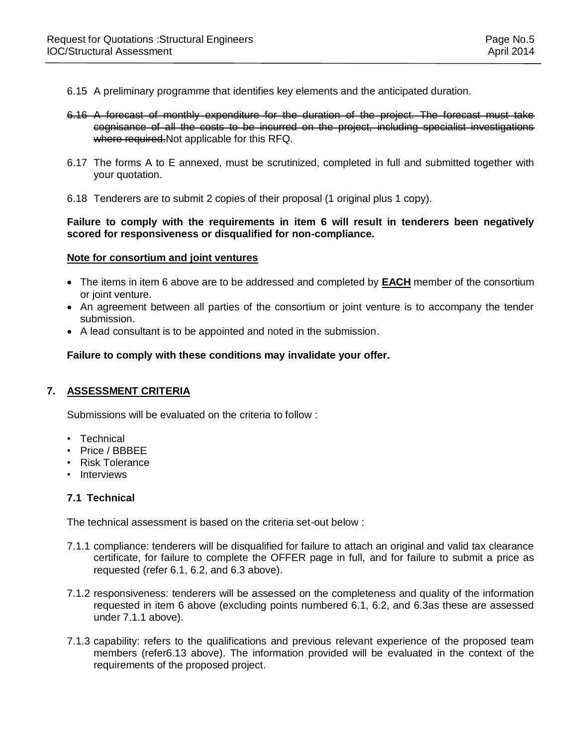- 6.15 A preliminary programme that identifies key elements and the anticipated duration.
- 6.16 A forecast of monthly expenditure for the duration of the project. The forecast must take cognisance of all the costs to be incurred on the project, including specialist investigations where required. Not applicable for this RFQ.
- 6.17 The forms A to E annexed, must be scrutinized, completed in full and submitted together with your quotation.
- 6.18 Tenderers are to submit 2 copies of their proposal (1 original plus 1 copy).

#### **Failure to comply with the requirements in item 6 will result in tenderers been negatively scored for responsiveness or disqualified for non-compliance.**

#### **Note for consortium and joint ventures**

- The items in item 6 above are to be addressed and completed by **EACH** member of the consortium or joint venture.
- An agreement between all parties of the consortium or joint venture is to accompany the tender submission.
- A lead consultant is to be appointed and noted in the submission.

**Failure to comply with these conditions may invalidate your offer.**

#### **7. ASSESSMENT CRITERIA**

Submissions will be evaluated on the criteria to follow :

- Technical
- Price / BBBEE
- Risk Tolerance
- Interviews

#### **7.1 Technical**

The technical assessment is based on the criteria set-out below :

- 7.1.1 compliance: tenderers will be disqualified for failure to attach an original and valid tax clearance certificate, for failure to complete the OFFER page in full, and for failure to submit a price as requested (refer 6.1, 6.2, and 6.3 above).
- 7.1.2 responsiveness: tenderers will be assessed on the completeness and quality of the information requested in item 6 above (excluding points numbered 6.1, 6.2, and 6.3as these are assessed under 7.1.1 above).
- 7.1.3 capability: refers to the qualifications and previous relevant experience of the proposed team members (refer6.13 above). The information provided will be evaluated in the context of the requirements of the proposed project.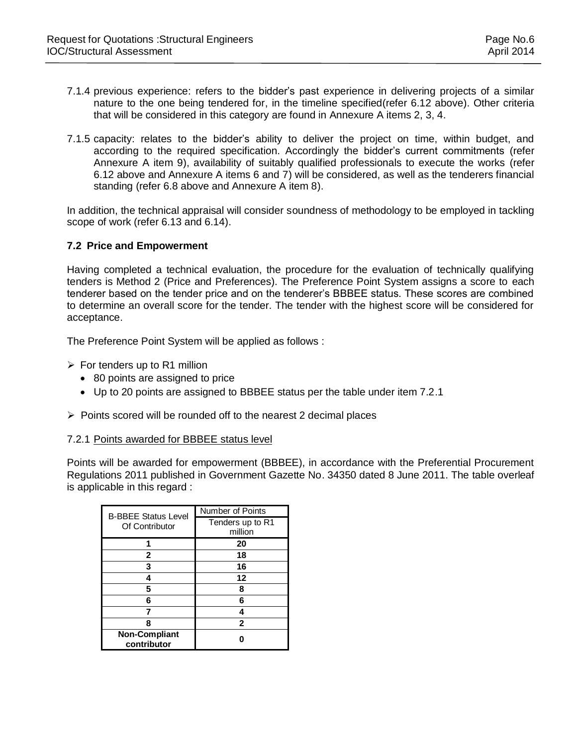- 7.1.4 previous experience: refers to the bidder's past experience in delivering projects of a similar nature to the one being tendered for, in the timeline specified(refer 6.12 above). Other criteria that will be considered in this category are found in Annexure A items 2, 3, 4.
- 7.1.5 capacity: relates to the bidder's ability to deliver the project on time, within budget, and according to the required specification. Accordingly the bidder's current commitments (refer Annexure A item 9), availability of suitably qualified professionals to execute the works (refer 6.12 above and Annexure A items 6 and 7) will be considered, as well as the tenderers financial standing (refer 6.8 above and Annexure A item 8).

In addition, the technical appraisal will consider soundness of methodology to be employed in tackling scope of work (refer 6.13 and 6.14).

### **7.2 Price and Empowerment**

Having completed a technical evaluation, the procedure for the evaluation of technically qualifying tenders is Method 2 (Price and Preferences). The Preference Point System assigns a score to each tenderer based on the tender price and on the tenderer's BBBEE status. These scores are combined to determine an overall score for the tender. The tender with the highest score will be considered for acceptance.

The Preference Point System will be applied as follows :

- $\triangleright$  For tenders up to R1 million
	- 80 points are assigned to price
	- Up to 20 points are assigned to BBBEE status per the table under item 7.2.1
- $\triangleright$  Points scored will be rounded off to the nearest 2 decimal places

#### 7.2.1 Points awarded for BBBEE status level

Points will be awarded for empowerment (BBBEE), in accordance with the Preferential Procurement Regulations 2011 published in Government Gazette No. 34350 dated 8 June 2011. The table overleaf is applicable in this regard :

| <b>B-BBEE Status Level</b>          | Number of Points            |
|-------------------------------------|-----------------------------|
| Of Contributor                      | Tenders up to R1<br>million |
|                                     | 20                          |
| 2                                   | 18                          |
| 3                                   | 16                          |
| 4                                   | 12                          |
| 5                                   | 8                           |
| 6                                   | 6                           |
|                                     |                             |
| Զ                                   | 2                           |
| <b>Non-Compliant</b><br>contributor |                             |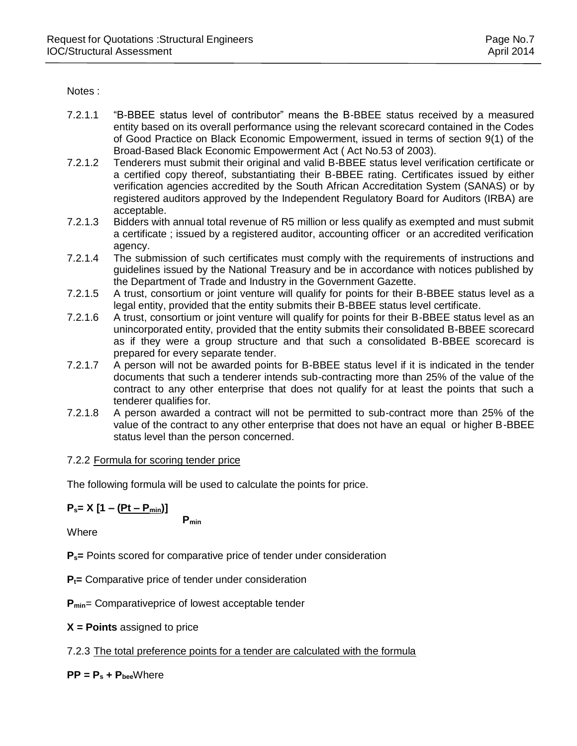Notes :

- 7.2.1.1 "B-BBEE status level of contributor" means the B-BBEE status received by a measured entity based on its overall performance using the relevant scorecard contained in the Codes of Good Practice on Black Economic Empowerment, issued in terms of section 9(1) of the Broad-Based Black Economic Empowerment Act ( Act No.53 of 2003).
- 7.2.1.2 Tenderers must submit their original and valid B-BBEE status level verification certificate or a certified copy thereof, substantiating their B-BBEE rating. Certificates issued by either verification agencies accredited by the South African Accreditation System (SANAS) or by registered auditors approved by the Independent Regulatory Board for Auditors (IRBA) are acceptable.
- 7.2.1.3 Bidders with annual total revenue of R5 million or less qualify as exempted and must submit a certificate ; issued by a registered auditor, accounting officer or an accredited verification agency.
- 7.2.1.4 The submission of such certificates must comply with the requirements of instructions and guidelines issued by the National Treasury and be in accordance with notices published by the Department of Trade and Industry in the Government Gazette.
- 7.2.1.5 A trust, consortium or joint venture will qualify for points for their B-BBEE status level as a legal entity, provided that the entity submits their B-BBEE status level certificate.
- 7.2.1.6 A trust, consortium or joint venture will qualify for points for their B-BBEE status level as an unincorporated entity, provided that the entity submits their consolidated B-BBEE scorecard as if they were a group structure and that such a consolidated B-BBEE scorecard is prepared for every separate tender.
- 7.2.1.7 A person will not be awarded points for B-BBEE status level if it is indicated in the tender documents that such a tenderer intends sub-contracting more than 25% of the value of the contract to any other enterprise that does not qualify for at least the points that such a tenderer qualifies for.
- 7.2.1.8 A person awarded a contract will not be permitted to sub-contract more than 25% of the value of the contract to any other enterprise that does not have an equal or higher B-BBEE status level than the person concerned.

# 7.2.2 Formula for scoring tender price

The following formula will be used to calculate the points for price.

$$
P_s = X [1 - (Pt - P_{min})]
$$

**Pmin**

**Where** 

**Ps=** Points scored for comparative price of tender under consideration

**Pt=** Comparative price of tender under consideration

**Pmin**= Comparativeprice of lowest acceptable tender

**X = Points** assigned to price

7.2.3 The total preference points for a tender are calculated with the formula

**PP = P<sup>s</sup> + Pbee**Where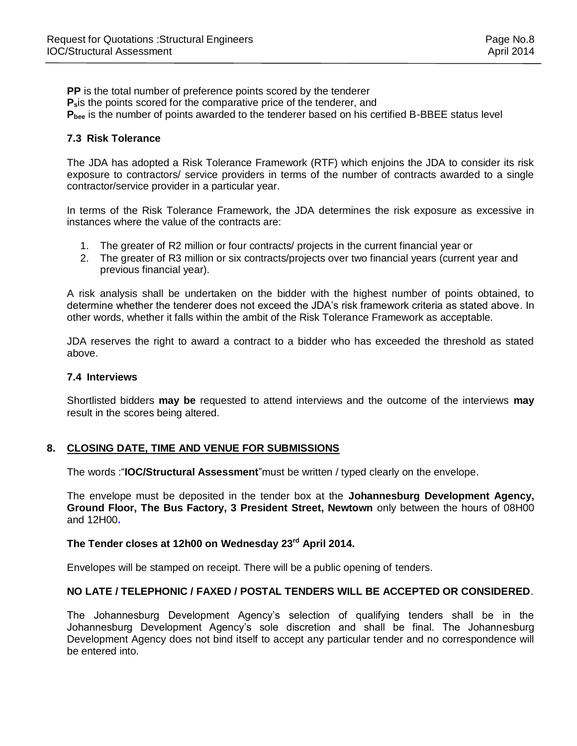**PP** is the total number of preference points scored by the tenderer **Ps**is the points scored for the comparative price of the tenderer, and **Pbee** is the number of points awarded to the tenderer based on his certified B-BBEE status level

### **7.3 Risk Tolerance**

The JDA has adopted a Risk Tolerance Framework (RTF) which enjoins the JDA to consider its risk exposure to contractors/ service providers in terms of the number of contracts awarded to a single contractor/service provider in a particular year.

In terms of the Risk Tolerance Framework, the JDA determines the risk exposure as excessive in instances where the value of the contracts are:

- 1. The greater of R2 million or four contracts/ projects in the current financial year or
- 2. The greater of R3 million or six contracts/projects over two financial years (current year and previous financial year).

A risk analysis shall be undertaken on the bidder with the highest number of points obtained, to determine whether the tenderer does not exceed the JDA's risk framework criteria as stated above. In other words, whether it falls within the ambit of the Risk Tolerance Framework as acceptable.

JDA reserves the right to award a contract to a bidder who has exceeded the threshold as stated above.

#### **7.4 Interviews**

Shortlisted bidders **may be** requested to attend interviews and the outcome of the interviews **may** result in the scores being altered.

#### **8. CLOSING DATE, TIME AND VENUE FOR SUBMISSIONS**

The words :"**IOC/Structural Assessment**"must be written / typed clearly on the envelope.

The envelope must be deposited in the tender box at the **Johannesburg Development Agency, Ground Floor, The Bus Factory, 3 President Street, Newtown** only between the hours of 08H00 and 12H00**.** 

#### **The Tender closes at 12h00 on Wednesday 23 rd April 2014.**

Envelopes will be stamped on receipt. There will be a public opening of tenders.

#### **NO LATE / TELEPHONIC / FAXED / POSTAL TENDERS WILL BE ACCEPTED OR CONSIDERED**.

The Johannesburg Development Agency's selection of qualifying tenders shall be in the Johannesburg Development Agency's sole discretion and shall be final. The Johannesburg Development Agency does not bind itself to accept any particular tender and no correspondence will be entered into.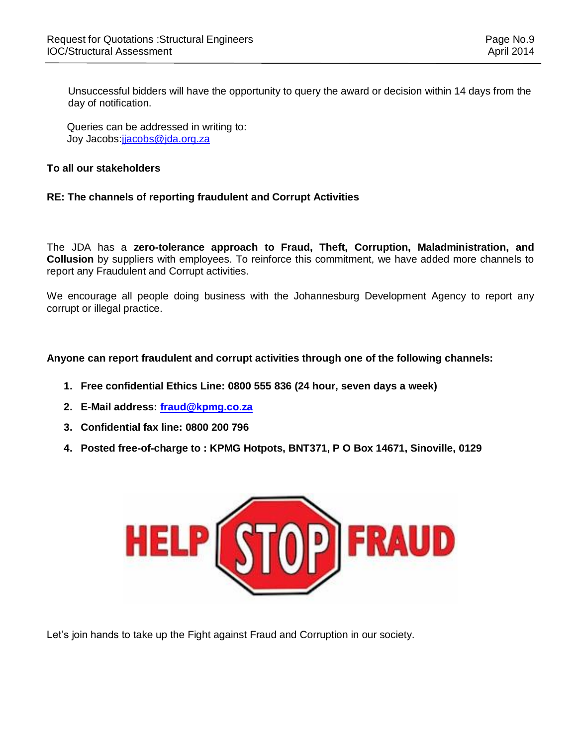Unsuccessful bidders will have the opportunity to query the award or decision within 14 days from the day of notification.

Queries can be addressed in writing to: Joy Jacobs[:jjacobs@jda.org.za](mailto:cmahlaule@jda.org.za)

#### **To all our stakeholders**

### **RE: The channels of reporting fraudulent and Corrupt Activities**

The JDA has a **zero-tolerance approach to Fraud, Theft, Corruption, Maladministration, and Collusion** by suppliers with employees. To reinforce this commitment, we have added more channels to report any Fraudulent and Corrupt activities.

We encourage all people doing business with the Johannesburg Development Agency to report any corrupt or illegal practice.

### **Anyone can report fraudulent and corrupt activities through one of the following channels:**

- **1. Free confidential Ethics Line: 0800 555 836 (24 hour, seven days a week)**
- **2. E-Mail address: [fraud@kpmg.co.za](mailto:fraud@kpmg.co.za)**
- **3. Confidential fax line: 0800 200 796**
- **4. Posted free-of-charge to : KPMG Hotpots, BNT371, P O Box 14671, Sinoville, 0129**



Let's join hands to take up the Fight against Fraud and Corruption in our society.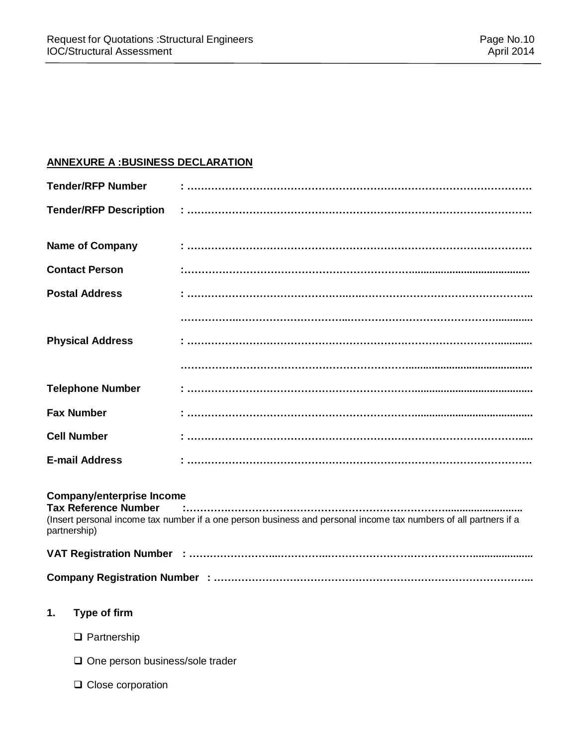# **ANNEXURE A :BUSINESS DECLARATION**

|    | <b>Tender/RFP Number</b>                                                        |                                                                                                                  |
|----|---------------------------------------------------------------------------------|------------------------------------------------------------------------------------------------------------------|
|    | <b>Tender/RFP Description</b>                                                   |                                                                                                                  |
|    | <b>Name of Company</b>                                                          |                                                                                                                  |
|    | <b>Contact Person</b>                                                           |                                                                                                                  |
|    | <b>Postal Address</b>                                                           |                                                                                                                  |
|    |                                                                                 |                                                                                                                  |
|    | <b>Physical Address</b>                                                         |                                                                                                                  |
|    |                                                                                 |                                                                                                                  |
|    | <b>Telephone Number</b>                                                         |                                                                                                                  |
|    | <b>Fax Number</b>                                                               |                                                                                                                  |
|    | <b>Cell Number</b>                                                              |                                                                                                                  |
|    | <b>E-mail Address</b>                                                           |                                                                                                                  |
|    | <b>Company/enterprise Income</b><br><b>Tax Reference Number</b><br>partnership) | (Insert personal income tax number if a one person business and personal income tax numbers of all partners if a |
|    |                                                                                 |                                                                                                                  |
|    |                                                                                 |                                                                                                                  |
| 1. | Type of firm                                                                    |                                                                                                                  |
|    | $\Box$ Partnership                                                              |                                                                                                                  |
|    | $\Box$ One person business/sole trader                                          |                                                                                                                  |

□ Close corporation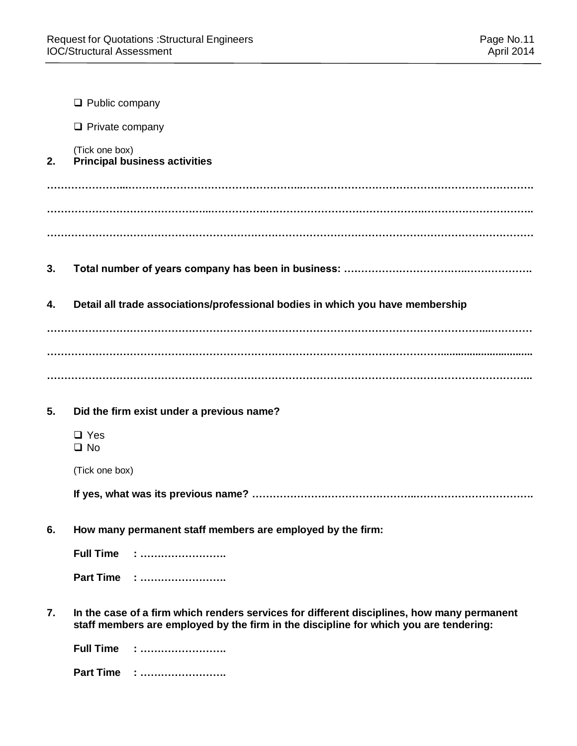|    | $\Box$ Public company                                                                                                                                                               |
|----|-------------------------------------------------------------------------------------------------------------------------------------------------------------------------------------|
|    | $\Box$ Private company                                                                                                                                                              |
| 2. | (Tick one box)<br><b>Principal business activities</b>                                                                                                                              |
|    |                                                                                                                                                                                     |
|    |                                                                                                                                                                                     |
|    |                                                                                                                                                                                     |
| 3. |                                                                                                                                                                                     |
| 4. | Detail all trade associations/professional bodies in which you have membership                                                                                                      |
|    |                                                                                                                                                                                     |
|    |                                                                                                                                                                                     |
|    |                                                                                                                                                                                     |
| 5. | Did the firm exist under a previous name?                                                                                                                                           |
|    | $\Box$ Yes<br>$\square$ No                                                                                                                                                          |
|    | (Tick one box)                                                                                                                                                                      |
|    |                                                                                                                                                                                     |
| 6. | How many permanent staff members are employed by the firm:                                                                                                                          |
|    | <b>Full Time</b><br><u>: </u>                                                                                                                                                       |
|    | Part Time :                                                                                                                                                                         |
| 7. | In the case of a firm which renders services for different disciplines, how many permanent<br>staff members are employed by the firm in the discipline for which you are tendering: |
|    | <b>Full Time</b><br><u>: </u>                                                                                                                                                       |
|    | <b>Part Time</b><br>.<br>.                                                                                                                                                          |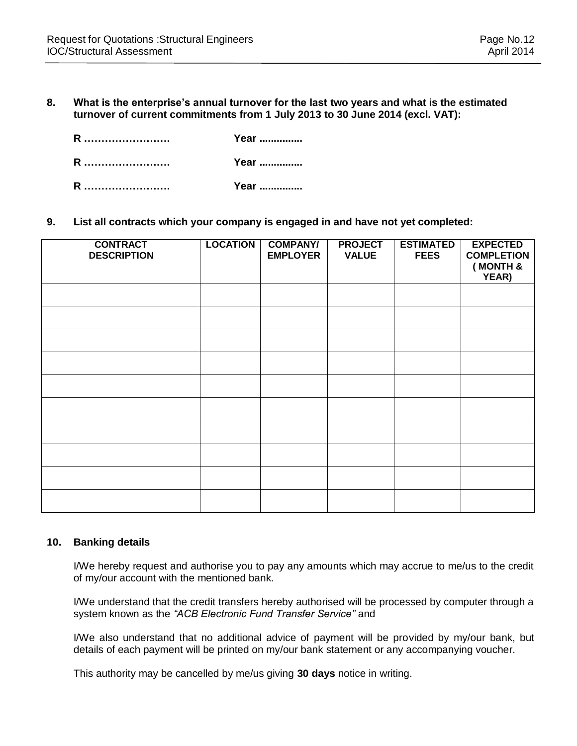**8. What is the enterprise's annual turnover for the last two years and what is the estimated turnover of current commitments from 1 July 2013 to 30 June 2014 (excl. VAT):** 

| R | Year |
|---|------|
| R | Year |
| R | Year |

**9. List all contracts which your company is engaged in and have not yet completed:**

| <b>CONTRACT</b><br><b>DESCRIPTION</b> | <b>LOCATION</b> | <b>COMPANY/</b><br><b>EMPLOYER</b> | <b>PROJECT</b><br><b>VALUE</b> | <b>ESTIMATED</b><br><b>FEES</b> | <b>EXPECTED</b><br><b>COMPLETION</b><br>(MONTH &<br>YEAR) |
|---------------------------------------|-----------------|------------------------------------|--------------------------------|---------------------------------|-----------------------------------------------------------|
|                                       |                 |                                    |                                |                                 |                                                           |
|                                       |                 |                                    |                                |                                 |                                                           |
|                                       |                 |                                    |                                |                                 |                                                           |
|                                       |                 |                                    |                                |                                 |                                                           |
|                                       |                 |                                    |                                |                                 |                                                           |
|                                       |                 |                                    |                                |                                 |                                                           |
|                                       |                 |                                    |                                |                                 |                                                           |
|                                       |                 |                                    |                                |                                 |                                                           |
|                                       |                 |                                    |                                |                                 |                                                           |
|                                       |                 |                                    |                                |                                 |                                                           |

#### **10. Banking details**

I/We hereby request and authorise you to pay any amounts which may accrue to me/us to the credit of my/our account with the mentioned bank.

I/We understand that the credit transfers hereby authorised will be processed by computer through a system known as the *"ACB Electronic Fund Transfer Service"* and

I/We also understand that no additional advice of payment will be provided by my/our bank, but details of each payment will be printed on my/our bank statement or any accompanying voucher.

This authority may be cancelled by me/us giving **30 days** notice in writing.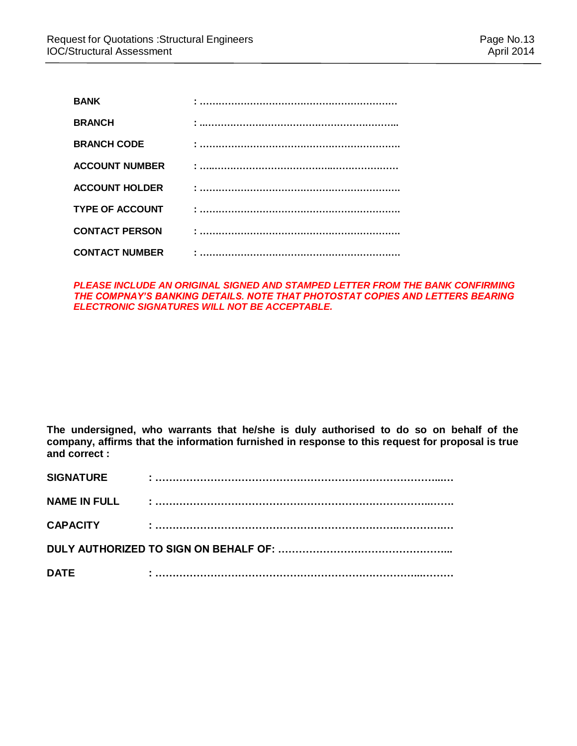| <b>BANK</b>            |  |
|------------------------|--|
| <b>BRANCH</b>          |  |
| <b>BRANCH CODE</b>     |  |
| <b>ACCOUNT NUMBER</b>  |  |
| <b>ACCOUNT HOLDER</b>  |  |
| <b>TYPE OF ACCOUNT</b> |  |
| <b>CONTACT PERSON</b>  |  |
| <b>CONTACT NUMBER</b>  |  |

**PLEASE INCLUDE AN ORIGINAL SIGNED AND STAMPED LETTER FROM THE BANK CONFIRMING** *THE COMPNAY'S BANKING DETAILS. NOTE THAT PHOTOSTAT COPIES AND LETTERS BEARING ELECTRONIC SIGNATURES WILL NOT BE ACCEPTABLE.*

**The undersigned, who warrants that he/she is duly authorised to do so on behalf of the company, affirms that the information furnished in response to this request for proposal is true and correct :**

| <b>SIGNATURE</b>    |  |  |  |  |
|---------------------|--|--|--|--|
| <b>NAME IN FULL</b> |  |  |  |  |
| <b>CAPACITY</b>     |  |  |  |  |
|                     |  |  |  |  |
| <b>DATE</b>         |  |  |  |  |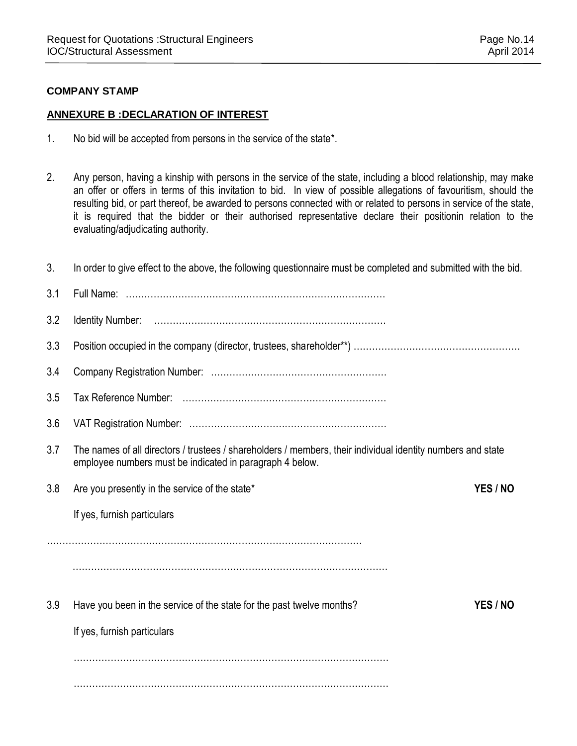# **COMPANY STAMP**

# **ANNEXURE B :DECLARATION OF INTEREST**

- 1. No bid will be accepted from persons in the service of the state\*.
- 2. Any person, having a kinship with persons in the service of the state, including a blood relationship, may make an offer or offers in terms of this invitation to bid. In view of possible allegations of favouritism, should the resulting bid, or part thereof, be awarded to persons connected with or related to persons in service of the state, it is required that the bidder or their authorised representative declare their positionin relation to the evaluating/adjudicating authority.

| 3.  | In order to give effect to the above, the following questionnaire must be completed and submitted with the bid.                                                         |  |
|-----|-------------------------------------------------------------------------------------------------------------------------------------------------------------------------|--|
| 3.1 |                                                                                                                                                                         |  |
| 3.2 |                                                                                                                                                                         |  |
| 3.3 |                                                                                                                                                                         |  |
| 3.4 |                                                                                                                                                                         |  |
| 3.5 |                                                                                                                                                                         |  |
| 3.6 |                                                                                                                                                                         |  |
| 3.7 | The names of all directors / trustees / shareholders / members, their individual identity numbers and state<br>employee numbers must be indicated in paragraph 4 below. |  |
| 3.8 | Are you presently in the service of the state*<br>YES / NO                                                                                                              |  |
|     | If yes, furnish particulars                                                                                                                                             |  |
|     |                                                                                                                                                                         |  |
|     |                                                                                                                                                                         |  |
| 3.9 | Have you been in the service of the state for the past twelve months?<br>YES / NO                                                                                       |  |
|     | If yes, furnish particulars                                                                                                                                             |  |
|     |                                                                                                                                                                         |  |
|     |                                                                                                                                                                         |  |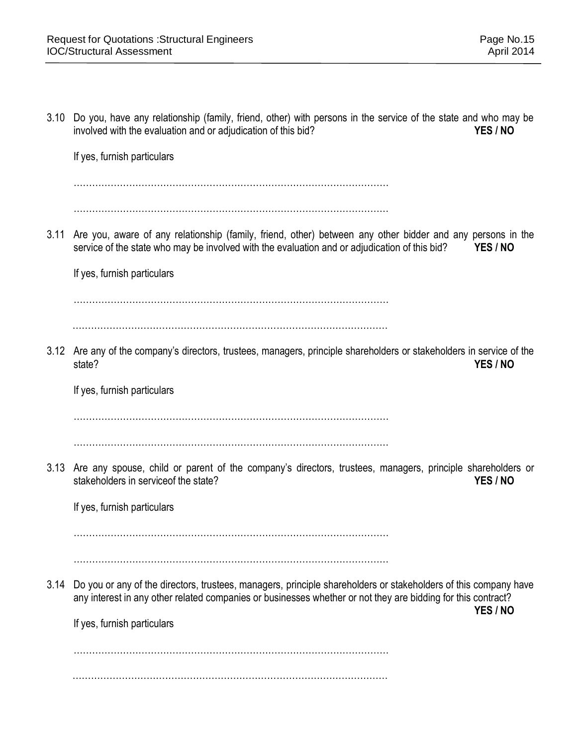3.10 Do you, have any relationship (family, friend, other) with persons in the service of the state and who may be involved with the evaluation and or adjudication of this bid? *YES / NO* If yes, furnish particulars ………………………………………………………………………………………… ………………………………………………………………………………………… 3.11 Are you, aware of any relationship (family, friend, other) between any other bidder and any persons in the service of the state who may be involved with the evaluation and or adjudication of this bid? **YES / NO** If yes, furnish particulars ………………………………………………………………………………………… ………………………………………………………………………………………… 3.12 Are any of the company's directors, trustees, managers, principle shareholders or stakeholders in service of the state? **YES / NO** If yes, furnish particulars ………………………………………………………………………………………… ………………………………………………………………………………………… 3.13 Are any spouse, child or parent of the company's directors, trustees, managers, principle shareholders or stakeholders in serviceof the state? **YES / NO** If yes, furnish particulars ………………………………………………………………………………………… ………………………………………………………………………………………… 3.14 Do you or any of the directors, trustees, managers, principle shareholders or stakeholders of this company have any interest in any other related companies or businesses whether or not they are bidding for this contract? **YES / NO** If yes, furnish particulars ………………………………………………………………………………………… …………………………………………………………………………………………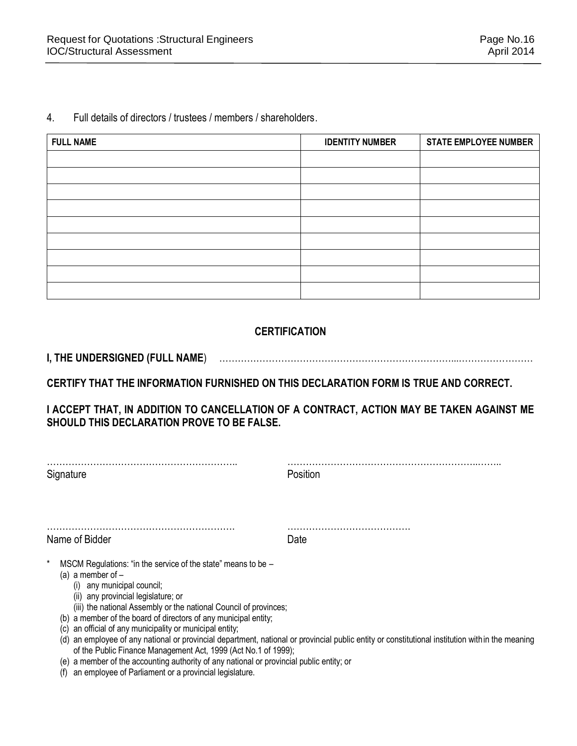#### 4. Full details of directors / trustees / members / shareholders.

| <b>FULL NAME</b> | <b>IDENTITY NUMBER</b> | <b>STATE EMPLOYEE NUMBER</b> |
|------------------|------------------------|------------------------------|
|                  |                        |                              |
|                  |                        |                              |
|                  |                        |                              |
|                  |                        |                              |
|                  |                        |                              |
|                  |                        |                              |
|                  |                        |                              |
|                  |                        |                              |
|                  |                        |                              |

# **CERTIFICATION**

**I, THE UNDERSIGNED (FULL NAME**) …………………………………………………………………...……………………

**CERTIFY THAT THE INFORMATION FURNISHED ON THIS DECLARATION FORM IS TRUE AND CORRECT.** 

# **I ACCEPT THAT, IN ADDITION TO CANCELLATION OF A CONTRACT, ACTION MAY BE TAKEN AGAINST ME SHOULD THIS DECLARATION PROVE TO BE FALSE.**

| Signature                                                                                                                                                                                                                                                                                                                                                                                                                                                                                                                                                                                                       | Position                                                                                                                                    |
|-----------------------------------------------------------------------------------------------------------------------------------------------------------------------------------------------------------------------------------------------------------------------------------------------------------------------------------------------------------------------------------------------------------------------------------------------------------------------------------------------------------------------------------------------------------------------------------------------------------------|---------------------------------------------------------------------------------------------------------------------------------------------|
| Name of Bidder                                                                                                                                                                                                                                                                                                                                                                                                                                                                                                                                                                                                  | Date                                                                                                                                        |
| MSCM Regulations: "in the service of the state" means to be -<br>(a) a member of $-$<br>any municipal council;<br>(i)<br>(ii) any provincial legislature; or<br>(iii) the national Assembly or the national Council of provinces;<br>a member of the board of directors of any municipal entity;<br>(b)<br>an official of any municipality or municipal entity;<br>(C)<br>(d)<br>of the Public Finance Management Act, 1999 (Act No.1 of 1999);<br>a member of the accounting authority of any national or provincial public entity; or<br>(e)<br>an employee of Parliament or a provincial legislature.<br>(f) | an employee of any national or provincial department, national or provincial public entity or constitutional institution within the meaning |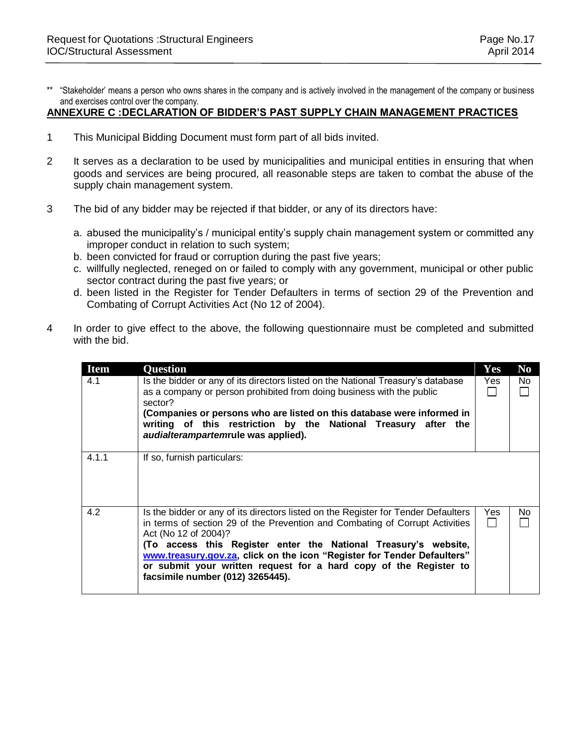\*\* "Stakeholder' means a person who owns shares in the company and is actively involved in the management of the company or business and exercises control over the company.

#### **ANNEXURE C :DECLARATION OF BIDDER'S PAST SUPPLY CHAIN MANAGEMENT PRACTICES**

- 1 This Municipal Bidding Document must form part of all bids invited.
- 2 It serves as a declaration to be used by municipalities and municipal entities in ensuring that when goods and services are being procured, all reasonable steps are taken to combat the abuse of the supply chain management system.
- 3 The bid of any bidder may be rejected if that bidder, or any of its directors have:
	- a. abused the municipality's / municipal entity's supply chain management system or committed any improper conduct in relation to such system;
	- b. been convicted for fraud or corruption during the past five years;
	- c. willfully neglected, reneged on or failed to comply with any government, municipal or other public sector contract during the past five years; or
	- d. been listed in the Register for Tender Defaulters in terms of section 29 of the Prevention and Combating of Corrupt Activities Act (No 12 of 2004).
- 4 In order to give effect to the above, the following questionnaire must be completed and submitted with the bid.

| <b>Item</b><br>4.1 | <b>Question</b><br>Is the bidder or any of its directors listed on the National Treasury's database<br>as a company or person prohibited from doing business with the public<br>sector?<br>(Companies or persons who are listed on this database were informed in<br>writing of this restriction by the National Treasury after the<br>audialterampartemrule was applied).                                                                        | Yes<br>Yes | N <sub>0</sub><br>No. |
|--------------------|---------------------------------------------------------------------------------------------------------------------------------------------------------------------------------------------------------------------------------------------------------------------------------------------------------------------------------------------------------------------------------------------------------------------------------------------------|------------|-----------------------|
| 4.1.1              | If so, furnish particulars:                                                                                                                                                                                                                                                                                                                                                                                                                       |            |                       |
| 4.2                | Is the bidder or any of its directors listed on the Register for Tender Defaulters<br>in terms of section 29 of the Prevention and Combating of Corrupt Activities<br>Act (No 12 of 2004)?<br>(To access this Register enter the National Treasury's website,<br>www.treasury.gov.za, click on the icon "Register for Tender Defaulters"<br>or submit your written request for a hard copy of the Register to<br>facsimile number (012) 3265445). | Yes        | No.                   |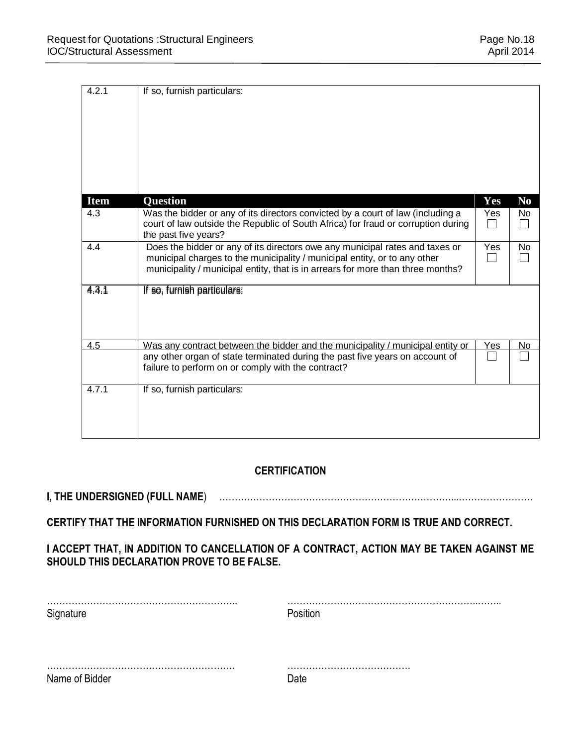| 4.2.1       | If so, furnish particulars:                                                                                                                                                                                                                  |     |                |
|-------------|----------------------------------------------------------------------------------------------------------------------------------------------------------------------------------------------------------------------------------------------|-----|----------------|
|             |                                                                                                                                                                                                                                              |     |                |
|             |                                                                                                                                                                                                                                              |     |                |
| <b>Item</b> | <b>Question</b>                                                                                                                                                                                                                              | Yes | N <sub>0</sub> |
| 4.3         | Was the bidder or any of its directors convicted by a court of law (including a<br>court of law outside the Republic of South Africa) for fraud or corruption during<br>the past five years?                                                 | Yes | No             |
| 4.4         | Does the bidder or any of its directors owe any municipal rates and taxes or<br>municipal charges to the municipality / municipal entity, or to any other<br>municipality / municipal entity, that is in arrears for more than three months? | Yes | No             |
| 4.3.1       | If so, furnish particulars:                                                                                                                                                                                                                  |     |                |
| 4.5         | Was any contract between the bidder and the municipality / municipal entity or                                                                                                                                                               | Yes | No             |
|             | any other organ of state terminated during the past five years on account of<br>failure to perform on or comply with the contract?                                                                                                           |     |                |
| 4.7.1       | If so, furnish particulars:                                                                                                                                                                                                                  |     |                |

# **CERTIFICATION**

# **I, THE UNDERSIGNED (FULL NAME**) …………………………………………………………………...……………………

# **CERTIFY THAT THE INFORMATION FURNISHED ON THIS DECLARATION FORM IS TRUE AND CORRECT.**

# **I ACCEPT THAT, IN ADDITION TO CANCELLATION OF A CONTRACT, ACTION MAY BE TAKEN AGAINST ME SHOULD THIS DECLARATION PROVE TO BE FALSE.**

| Signature      | Position |
|----------------|----------|
|                |          |
|                |          |
| Name of Bidder | Date     |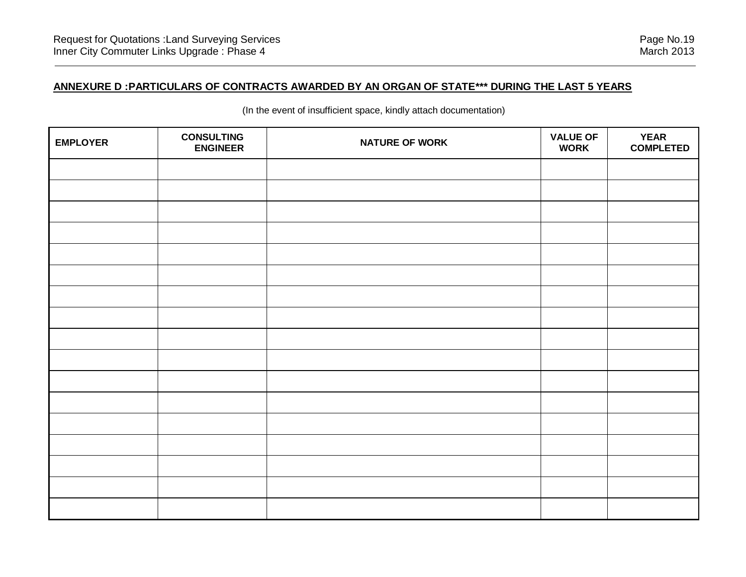# **ANNEXURE D :PARTICULARS OF CONTRACTS AWARDED BY AN ORGAN OF STATE\*\*\* DURING THE LAST 5 YEARS**

| <b>EMPLOYER</b> | <b>CONSULTING</b><br><b>ENGINEER</b> | <b>NATURE OF WORK</b> | <b>VALUE OF</b><br><b>WORK</b> | <b>YEAR</b><br><b>COMPLETED</b> |
|-----------------|--------------------------------------|-----------------------|--------------------------------|---------------------------------|
|                 |                                      |                       |                                |                                 |
|                 |                                      |                       |                                |                                 |
|                 |                                      |                       |                                |                                 |
|                 |                                      |                       |                                |                                 |
|                 |                                      |                       |                                |                                 |
|                 |                                      |                       |                                |                                 |
|                 |                                      |                       |                                |                                 |
|                 |                                      |                       |                                |                                 |
|                 |                                      |                       |                                |                                 |
|                 |                                      |                       |                                |                                 |
|                 |                                      |                       |                                |                                 |
|                 |                                      |                       |                                |                                 |
|                 |                                      |                       |                                |                                 |
|                 |                                      |                       |                                |                                 |
|                 |                                      |                       |                                |                                 |
|                 |                                      |                       |                                |                                 |
|                 |                                      |                       |                                |                                 |

(In the event of insufficient space, kindly attach documentation)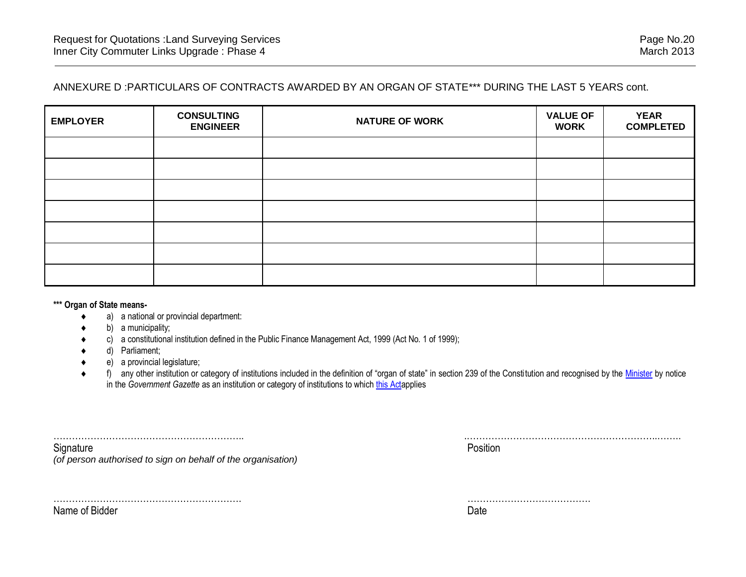# ANNEXURE D :PARTICULARS OF CONTRACTS AWARDED BY AN ORGAN OF STATE\*\*\* DURING THE LAST 5 YEARS cont.

| <b>EMPLOYER</b> | <b>CONSULTING</b><br><b>ENGINEER</b> | <b>NATURE OF WORK</b> | <b>VALUE OF</b><br><b>WORK</b> | <b>YEAR</b><br><b>COMPLETED</b> |
|-----------------|--------------------------------------|-----------------------|--------------------------------|---------------------------------|
|                 |                                      |                       |                                |                                 |
|                 |                                      |                       |                                |                                 |
|                 |                                      |                       |                                |                                 |
|                 |                                      |                       |                                |                                 |
|                 |                                      |                       |                                |                                 |
|                 |                                      |                       |                                |                                 |
|                 |                                      |                       |                                |                                 |

**\*\*\* Organ of State means-**

- a) a national or provincial department:
- b) a municipality;
- c) a constitutional institution defined in the Public Finance Management Act, 1999 (Act No. 1 of 1999);
- d) Parliament;
- e) a provincial legislature;
- ◆ f) any other institution or category of institutions included in the definition of "organ of state" in section 239 of the Constitution and recognised by the [Minister](javascript:void(0);) by notice in the *Government Gazette* as an institution or category of institutions to which [this Acta](javascript:void(0);)pplies

| ∵nnature                                                     | Position |
|--------------------------------------------------------------|----------|
| (of person authorised to sign on behalf of the organisation) |          |

……………………………………………………. ………………………………….

Name of Bidder **Date**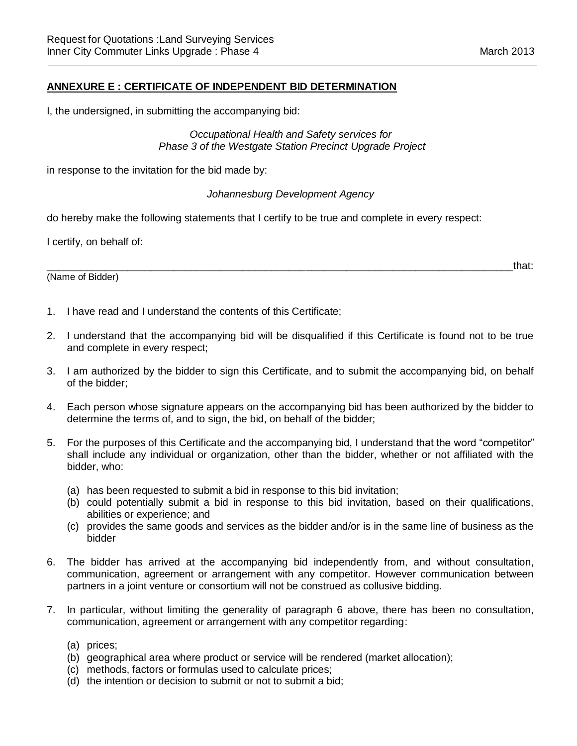### **ANNEXURE E : CERTIFICATE OF INDEPENDENT BID DETERMINATION**

I, the undersigned, in submitting the accompanying bid:

*Occupational Health and Safety services for Phase 3 of the Westgate Station Precinct Upgrade Project*

in response to the invitation for the bid made by:

#### *Johannesburg Development Agency*

do hereby make the following statements that I certify to be true and complete in every respect:

I certify, on behalf of:

(Name of Bidder)

\_\_\_\_\_\_\_\_\_\_\_\_\_\_\_\_\_\_\_\_\_\_\_\_\_\_\_\_\_\_\_\_\_\_\_\_\_\_\_\_\_\_\_\_\_\_\_\_\_\_\_\_\_\_\_\_\_\_\_\_\_\_\_\_\_\_\_\_\_\_\_\_\_\_\_\_\_\_\_\_\_that:

- 1. I have read and I understand the contents of this Certificate;
- 2. I understand that the accompanying bid will be disqualified if this Certificate is found not to be true and complete in every respect;
- 3. I am authorized by the bidder to sign this Certificate, and to submit the accompanying bid, on behalf of the bidder;
- 4. Each person whose signature appears on the accompanying bid has been authorized by the bidder to determine the terms of, and to sign, the bid, on behalf of the bidder;
- 5. For the purposes of this Certificate and the accompanying bid, I understand that the word "competitor" shall include any individual or organization, other than the bidder, whether or not affiliated with the bidder, who:
	- (a) has been requested to submit a bid in response to this bid invitation;
	- (b) could potentially submit a bid in response to this bid invitation, based on their qualifications, abilities or experience; and
	- (c) provides the same goods and services as the bidder and/or is in the same line of business as the bidder
- 6. The bidder has arrived at the accompanying bid independently from, and without consultation, communication, agreement or arrangement with any competitor. However communication between partners in a joint venture or consortium will not be construed as collusive bidding.
- 7. In particular, without limiting the generality of paragraph 6 above, there has been no consultation, communication, agreement or arrangement with any competitor regarding:
	- (a) prices;
	- (b) geographical area where product or service will be rendered (market allocation);
	- (c) methods, factors or formulas used to calculate prices;
	- (d) the intention or decision to submit or not to submit a bid;